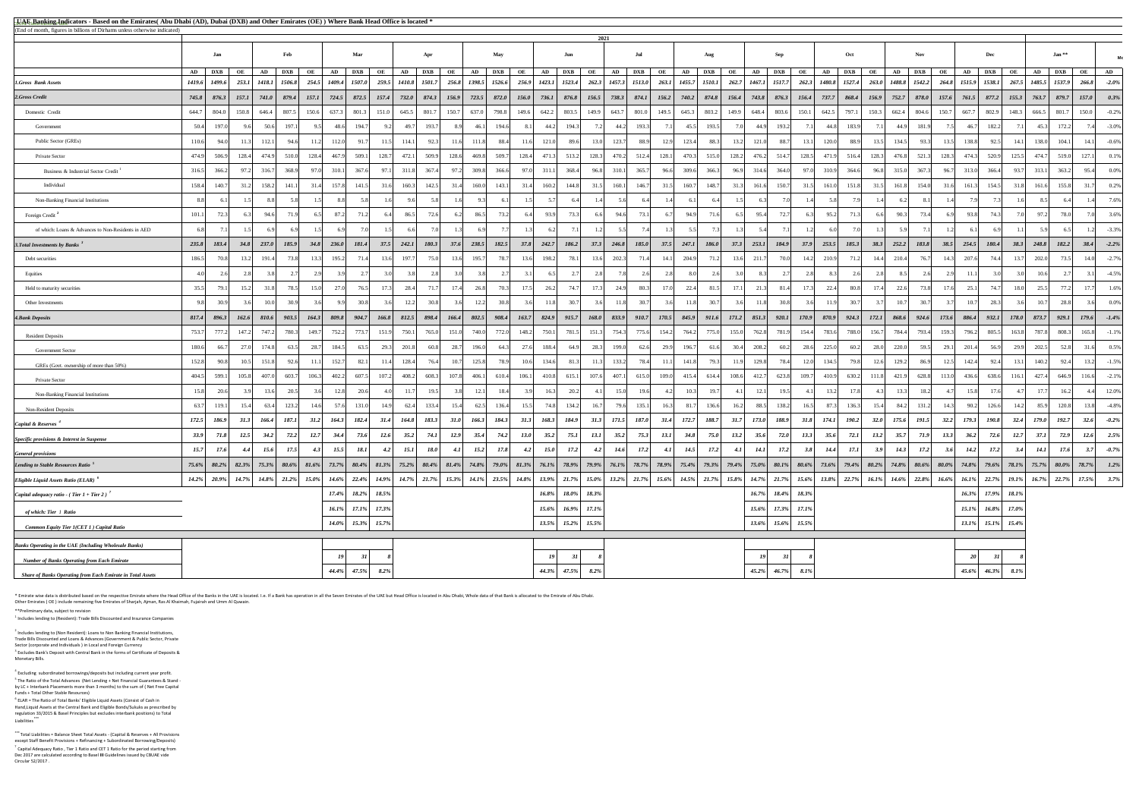$<sup>4</sup>$  Excluding subordinated borrowings/deposits but including current year profit.</sup> <sup>5</sup> The Ratio of the Total Advances (Net Lending + Net Financial Guarantees & Stand by LC + Interbank Placements more than 3 months) to the sum of ( Net Free Capital Funds + Total Other Stable Resources)

 $<sup>6</sup>$  ELAR = The Ratio of Total Banks' Eligible Liquid Assets (Consist of Cash in</sup> Hand,Liquid Assets at the Central Bank and Eligible Bonds/Sukuks as prescribed by regulation 33/2015 & Basel Principles but excludes interbank positions) to Total Liabilities **\*\*\***

\* Emirate wise data is distributed based on the respective Emirate where the Head Office of the Banks in the UAE is located. I.e. If a Bank has operation in all the Seven Emirates of the UAE but Head Office is located in A Other Emirates ( OE ) include remaining five Emirates of Sharjah, Ajman, Ras Al Khaimah, Fujairah and Umm Al Quwain.

| <b>ELAE Banking Indicators - Based on the Emirates</b> (Abu Dhabi (AD), Dubai (DXB) and Other Emirates (OE)) Where Bank Head Office is located *<br>(End of month, figures in billions of Dirhams unless otherwise indicated) |                                                     |       |                     |                         |                   |                            |                                  |       |                     |                |                           |                            |                                                                                                                                                           |                                                                                      |             |       |                                         |                       |      |                      |          |           |             |                                                    |        |             |                                                             |          |                 |         |           |          |
|-------------------------------------------------------------------------------------------------------------------------------------------------------------------------------------------------------------------------------|-----------------------------------------------------|-------|---------------------|-------------------------|-------------------|----------------------------|----------------------------------|-------|---------------------|----------------|---------------------------|----------------------------|-----------------------------------------------------------------------------------------------------------------------------------------------------------|--------------------------------------------------------------------------------------|-------------|-------|-----------------------------------------|-----------------------|------|----------------------|----------|-----------|-------------|----------------------------------------------------|--------|-------------|-------------------------------------------------------------|----------|-----------------|---------|-----------|----------|
|                                                                                                                                                                                                                               |                                                     |       |                     |                         |                   |                            |                                  |       |                     |                |                           |                            | 2021                                                                                                                                                      |                                                                                      |             |       |                                         |                       |      |                      |          |           |             |                                                    |        |             |                                                             |          |                 |         |           |          |
|                                                                                                                                                                                                                               | Jan                                                 |       | Feb                 |                         | Mar               |                            | Apr                              |       |                     | <b>May</b>     |                           | Jun                        |                                                                                                                                                           | Jul                                                                                  |             |       | Aug                                     |                       | Sep  |                      |          | Oct       |             | <b>Nov</b>                                         |        |             | Dec                                                         |          |                 | $Jan**$ |           | Mo       |
|                                                                                                                                                                                                                               | AD DXB<br><b>OE</b>                                 |       | AD DXB              | OE<br>AD                | DXB               | <b>OE</b>                  | AD DXB                           | OE    |                     | AD DXB OE      | AD                        | $DXB$ OE                   |                                                                                                                                                           | $\begin{array}{ c c c c c c } \hline \text{AD} & \text{DXB} & \text{OE} \end{array}$ |             |       | AD   DXB   OE                           |                       |      | AD   DXB   OE        |          | AD DXB OE |             | AD DXB                                             | OE     |             | AD   DXB   OE                                               |          | AD DXB          |         | <b>OE</b> | AD       |
| <b>1.Gross Bank Assets</b>                                                                                                                                                                                                    | $1419.6$   $1499.6$   $253.1$   $1418.1$   $1506.8$ |       |                     | 254.5   1409.4   1507.0 |                   |                            | 259.5   1410.8   1501.7          |       | 256.8 1398.5 1526.6 |                |                           |                            | 256.9   1423.1   1523.4   262.3   1457.3   1513.0   263.1   1455.7   1510.1   262.7   1467.1   1517.7   262.3   1480.8   1527.4   263.0   1488.8   1542.2 |                                                                                      |             |       |                                         |                       |      |                      |          |           |             |                                                    |        |             | $264.8$   1515.9   1538.1   267.5   1485.5   1537.9   266.8 |          |                 |         |           | $-2.0\%$ |
| 2.Gross Credit                                                                                                                                                                                                                | $745.8$ 876.3 157.1 741.0 879.4 157.1 724.5 872.5   |       |                     |                         |                   |                            | $157.4$ 732.0 874.3              |       |                     |                |                           |                            |                                                                                                                                                           |                                                                                      |             |       | $874.1$ $156.2$ $740.2$ $874.8$ $156.4$ |                       |      |                      |          |           |             | $743.8$ 876.3 156.4 737.7 868.4 156.9 752.7 878.0  |        |             | $157.6$ 761.5 877.2 155.3 763.7 879.7                       |          |                 |         | 157.0     | $0.3\%$  |
| Domestic Credit                                                                                                                                                                                                               | 644.7<br>804.0                                      |       | $150.8$ 646.4 807.5 | 150.6<br>637.3          | 801.3             |                            | $151.0$ 645.5<br>801.7           | 150.7 | 637.0               | 798.8<br>149.6 |                           | 642.2 803.5                | 149.9 643.7                                                                                                                                               |                                                                                      | 801.0 149.5 |       | 645.3 803.2 149.9                       | 648.4                 |      | 803.6<br>150.1       | 642.5    |           | 797.1 150.3 | 662.4 804.6                                        |        | 150.7 667.7 | 802.9                                                       | 148.3    | 666.5           | 801.7   | 150.0     | $-0.2\%$ |
| Government                                                                                                                                                                                                                    | 197.0<br>50.4<br>96                                 | 50.6  | 197.1               | 48.6                    | 194.7             |                            | 193.7                            | 8.9   | 46.1                | 194.6          | 44.2<br>8.1               | 194.3                      |                                                                                                                                                           | 193.3<br>44.2                                                                        |             | 45.5  | 193.5                                   |                       | 44.9 | 193.2                | 44.8     | 183.9     |             | 181.9<br>44.9                                      |        | 46.7        | 182.2                                                       |          | 45.3            | 172.2   |           | $-3.0\%$ |
| Public Sector (GREs)                                                                                                                                                                                                          | 94.0<br>11.3<br>110.6                               | 112.1 | 94.6                | 11.2<br>112.0           | 91.7              | 11.5                       | 92.3<br>114.1                    | 11.6  | 111.8               | 88.4           | 121.0<br>11.6             | 89.6                       | 123.7<br>13.0                                                                                                                                             | 88.9                                                                                 | 12.9        | 123.4 | 88.3                                    | 121.0<br>13.2         |      | 88.7<br>13.1         | 120.0    | 88.9      | 13.5        | 134.5<br>93.3                                      | 13.5   | 138.8       | 92.5                                                        | 14.1     | 138.0           | 104.1   | 14.1      | $-0.6\%$ |
| Private Sector                                                                                                                                                                                                                | 474.9<br>506.9<br>128.4                             | 474.9 | 510.0               | 128.4<br>467.9          | 509.1             | 128.7                      | 472.1<br>509.9                   | 128.6 | 469.81              | 128.4<br>509.7 | 471.3                     | 513.2                      | 128.3 470.2                                                                                                                                               | 512.4                                                                                | 128.1       | 470.3 | 515.0                                   | 128.2<br>476.2        |      | 514.7<br>128.5       | 471.9    |           | 516.4 128.3 | 476.8 521.3                                        | 128.3  | 474.3       | 520.9                                                       | 125.5    | 474.7           | 519.0   | 127.1     | $0.1\%$  |
| Business & Industrial Sector Credit <sup>1</sup>                                                                                                                                                                              | 316.5<br>366.2<br>97.2                              | 316.7 | 368.9               | 310.1<br>97.0           | 367.6             | 97.1                       | 367.4<br>311.8                   | 97.2  | 309.8               | 366.6          | 311.1<br>97.0             | 368.4                      | 96.8<br>310.1                                                                                                                                             | 365.7                                                                                | 96.6        | 309.6 | 366.3                                   | 96.9<br>314.6         |      | 364.0<br>97.0        | 310.9    | 364.6     | 96.8        | 315.0<br>367.3                                     | 96.7   | 313.0       | 366.4                                                       | 93.7     | 313.1           | 363.2   | 95.4      | $0.0\%$  |
| Individual                                                                                                                                                                                                                    | 158.4<br>31.2                                       | 158.2 | 141.1               | 157.8<br>31.4           | 141.5             | 31.6                       | 142.5<br>160.3                   | 31.4  | 160.0               | 143.1          | 160.2<br>31.4             | 144.8                      | 31.5<br>160.1                                                                                                                                             | 146.7                                                                                |             | 160.7 | 148.7                                   | 161.6                 |      | 150.7<br>31.5        | 161.0    | 151.8     |             | 161.8<br>154.0                                     | 31.6   | 161.3       | 154.5                                                       | 31.8     | 161.6           | 155.8   | 31.7      | 0.2%     |
| Non-Banking Financial Institutions                                                                                                                                                                                            | 8.8                                                 |       |                     |                         |                   |                            |                                  |       |                     |                |                           |                            |                                                                                                                                                           |                                                                                      |             |       |                                         |                       |      |                      |          |           |             |                                                    |        |             |                                                             |          |                 | 6.4     |           | 7.6%     |
| Foreign Credit <sup>2</sup>                                                                                                                                                                                                   | 101.1                                               | 94.6  | 71.9                | 87.2                    |                   |                            |                                  |       | 86.5                | 73.2           | 93.9                      |                            | 946                                                                                                                                                       | 73.1                                                                                 |             | 949   |                                         | $95\,\mathrm{A}$      |      |                      | 95.2     |           |             | 90.3                                               | 73.4L  | 93.8        |                                                             |          |                 | 78.0    |           | 3.6%     |
| of which: Loans & Advances to Non-Residents in AED                                                                                                                                                                            | 6.8<br>7.1                                          |       |                     |                         |                   |                            |                                  |       |                     |                |                           |                            |                                                                                                                                                           |                                                                                      |             |       |                                         |                       |      |                      |          |           |             |                                                    |        |             |                                                             |          |                 |         |           | $-3.3%$  |
| 3. Total Investments by Banks $3$                                                                                                                                                                                             | 235.8<br>34.8<br>183.4                              | 237.0 | 185.9               | 236.0<br>34.8           | <b>181.4</b>      | 37.5                       | 242.1<br>180.3                   | 37.6  | 238.5               | 182.5<br>37.8  | 242.7                     | 186.2                      | 37.3<br>246.8                                                                                                                                             | 185.0                                                                                | 37.5        | 247.1 | 186.0                                   | 37.3<br>253.1         |      | 37.9<br><b>184.9</b> | 253.5    | 185.3     | 38.3        | 252.2<br>183.8                                     | 38.5   | 254.5       | 180.4                                                       | 38.3     | 248.8           | 182.2   | 38.4      | $-2.2%$  |
| Debt securities                                                                                                                                                                                                               | 186.5<br>70.8<br>13.2                               | 191.4 | 73.8                | 195.2<br>13.3           |                   | 13.6                       | 197.7<br>75.0                    | 13.6  | 195.7               | 78.7           | 198.2<br>13.6             | 78.1                       | 202.3<br>13.6                                                                                                                                             | 71.4                                                                                 |             | 204.9 |                                         | 211.7                 |      | 70.0<br>14.2         | 210.9    |           | 14.         | 210.4                                              | 14.3   | 207.6       |                                                             |          | 202.0           | 73.5    | 14.0      | $-2.7\%$ |
| Equities                                                                                                                                                                                                                      |                                                     |       |                     |                         |                   |                            |                                  |       |                     |                |                           |                            |                                                                                                                                                           |                                                                                      |             |       |                                         |                       |      |                      |          |           |             |                                                    |        |             |                                                             |          | 10 <sub>1</sub> |         |           | $-4.5\%$ |
| Held to maturity securities                                                                                                                                                                                                   | 35.5<br>79.1                                        |       | 78.5                | 27.0                    | 76                |                            |                                  | 17.4  |                     | 70.3           | 26.2<br>17.5              | 74.7                       | 173                                                                                                                                                       | 80.3<br>$4$ Q                                                                        |             | 22.4  |                                         | 21.3                  |      | 17.3                 | 22.4     | 80.8      |             | 22.6                                               | 73 R I |             |                                                             |          | 25              | 77.2    |           | 1.6%     |
| Other Investments                                                                                                                                                                                                             | 98                                                  |       |                     |                         |                   |                            |                                  |       | 12.2                | 30.8           | 11.8                      |                            |                                                                                                                                                           | 30.7<br>11.8                                                                         |             | 11.8  |                                         |                       | 11.8 |                      |          |           |             | 10.7                                               |        | 10.7        |                                                             |          |                 | 28.8    |           | $0.0\%$  |
| <b>4. Bank Deposits</b>                                                                                                                                                                                                       | 817.4<br>896.3<br>162.6                             | 810.6 | 903.5               | 164.3<br>809.8          | 904.7             | 166.8                      | 898.4<br>812.5                   | 166.4 | 802.5               | 908.4<br>163.7 | 824.9                     | 915.7                      | 168.0<br>833.9                                                                                                                                            | 910.7                                                                                | 170.5       | 845.9 | 911.6                                   | <i>171.2</i><br>851.3 |      | 920.1<br>170.9       | 870.9    | 924.3     | 172.1       | 868.6<br>924.6                                     | 173.6  | 886.4       | 932.1                                                       | 178.0    | 873.7           | 929.1   | 179.6     | $-1.4\%$ |
| <b>Resident Deposits</b>                                                                                                                                                                                                      | 753.7<br>777.2<br>147.2                             | 747.2 | 780.3               | 752.2                   | 773.7             | 151.9                      | 750.1<br>765.0                   | 151.0 | 740.0               | 772.0<br>148.2 | 750.1                     | 781.5                      | 151.3<br>754.3                                                                                                                                            | 775.6                                                                                | 154.2       | 764.2 | 775.0                                   | 762.8<br>155(         |      | 781.9<br>154.4       | 783.6    | 788.0     | 156.        | 784.4<br>793.4                                     | 159.3  |             | 805.5                                                       |          | 787.8           | 808.3   | 165.8     | $-1.1\%$ |
| <b>Government Sector</b>                                                                                                                                                                                                      | 27.0<br>180.6<br>66.7                               | 174.8 | 63.5                | 184.5                   |                   |                            | 201.8<br>60.8                    | 28.7  | 196.0               | 64.3           | 27.6<br>188.4             |                            | 28.3<br>199.0                                                                                                                                             | 62.6                                                                                 |             | 196.7 |                                         | 208.2                 |      | 60.2<br>28.6         | 225.0    | 60.2      |             | 220.0                                              | 595    | 201.4       |                                                             |          | 202.5           | 52.8    |           | 0.5%     |
| GREs (Govt. ownership of more than 50%)                                                                                                                                                                                       | 90.8<br>152.8                                       | 151.8 | 92.6                | 152.7                   | 82.1              |                            | 76.4                             | 10.7  | 125.8               | 78.9           | 134.6<br>10.6             | 81.                        | 133.2<br>11.3                                                                                                                                             | 78.4                                                                                 |             | 141.8 |                                         | 129.8                 |      | 78.4                 | 134.5    | 79.8      | 12.6        | 129.2                                              | 86.9   | 142.4       |                                                             |          | 140.2           | 92.4    |           | $-1.5\%$ |
| Private Sector                                                                                                                                                                                                                | 599.1<br>105.8<br>404.5                             | 407.0 | 603.7               | 106.3<br>402.2          | 607.5             | 107.2                      | 408.2<br>608.3                   | 107.8 | 406.1               | 106.1<br>610.4 | 410.8                     | 615.1                      | 107.6<br>407.1                                                                                                                                            | 615.0                                                                                | 109.0       | 415.4 | 614.4                                   | 108.6<br>412.7        |      | 623.8<br>109.7       | 410.9    | 630.2     | 111.8       | 421.9<br>628.8                                     | 113.0  | 436.6       | 638.6                                                       | 116.1    | 427.4           | 646.9   | 116.6     | $-2.1\%$ |
| Non-Banking Financial Institutions                                                                                                                                                                                            | 20.6<br>15.8                                        |       | 20.5                | 12.8I                   |                   |                            | 19.5                             | 3.8   | 12.1                | 18.4           | 16.3                      | 20.2                       |                                                                                                                                                           | 150<br>19.6                                                                          |             |       |                                         | 12.1                  |      | 19.5                 | 13.2     | 17.8      |             | 13.3                                               | 18.2   | 15.8        | 176                                                         |          | 17 <sup>1</sup> | 16.2    |           | 12.0%    |
| <b>Non-Resident Deposits</b>                                                                                                                                                                                                  | 119.1<br>63.7<br>15.4                               |       | 123.2               | 146                     | 131.0             | 14.9                       | 133.4                            | 15.4  | 62.5                | 136.4          | 15.5<br>74.8              | 134.2                      | 16.7                                                                                                                                                      | 135.1<br>79.6L                                                                       |             | 81.7  | 136.6                                   | 16.                   | 88.5 | 138.2<br>16.5        | 87.3     | 136.3     |             | 84.2                                               |        | 90.2        | 126.6                                                       |          | 85.9            | 120.8   |           | $-4.8\%$ |
| Capital & Reserves <sup>4</sup>                                                                                                                                                                                               | 172.5<br>31.3<br>186.9                              | 166.4 | 187.1               | 164.3<br>31.2           | 182.4             | 31.4                       | 164.8<br>183.3                   | 31.0  | 166.3               | 184.3          | 168.3<br>31.3             | 184.9                      | 31.3<br>171.5                                                                                                                                             | 187.0                                                                                |             | 172.7 | 188.7                                   | 31.7<br>173.0         |      | 188.9<br>31.8        | 174.1    | 190.2     | 32.0        | 175.6<br>191.5                                     | 32.2   | 179.3       | 190.8                                                       | 32.4     | 179.0           | 192.7   | 32.6      | $-0.2\%$ |
| Specific provisions & Interest in Suspense                                                                                                                                                                                    | 33.9<br>12.5                                        | 34.2  | 72.2                | 34.4                    | 73.6              | 12.6                       | 35.2<br>74.1                     | 12.9  | 35.4                | 74.2           | 35.2<br>13.0 <sub>1</sub> | 75.1                       | 13.1<br>35.2                                                                                                                                              | 75.3                                                                                 | 13.1        | 34.8  | 75.0                                    | 35.6<br>13.2          |      | 72.0<br>13.3         | 35.6     | 72.1      | 13.2        | 35.7<br>71.9                                       | 13.3   |             | 72.6                                                        | 12.7     | 37.1            | 72.9    | 12.6      | 2.5%     |
| <b>General provisions</b>                                                                                                                                                                                                     | 15.7<br>17.6<br>4.4                                 | 15.6  | 17.5                | 15.5<br>4.3             | 18.1              | 4.2                        | 15.1<br><b>18.0</b>              | 4.1   | 15.2                | 17.8           | 15.0<br>4.2               | 17.2                       | 4.2<br>14.6                                                                                                                                               | 17.2                                                                                 | 4.1         | 14.5  | 17.2                                    | 4.1                   | 14.1 | 17.2<br>3.8          | 14.4     | 17.1      | 3.9         | 14.3<br>17.2                                       | 3.6    | 14.2        | 17.2                                                        | 3.4      | 14.1            | 17.6    | 3.7       | $-0.7\%$ |
| Lending to Stable Resources Ratio <sup>5</sup>                                                                                                                                                                                | $75.6\%$ 80.2% 82.3% 75.3% 80.6% 81.6%              |       |                     |                         |                   |                            | $73.7\%$ 80.4% 81.3% 75.2% 80.4% |       |                     |                |                           |                            |                                                                                                                                                           |                                                                                      |             |       |                                         |                       |      |                      |          |           |             | $74.8\%$ 80.6% 80.0% 74.8% 79.6% 78.1% 75.7% 80.0% |        |             |                                                             |          |                 |         | 78.7%     | $1.2\%$  |
| <i>Eligible Liquid Assets Ratio (ELAR)</i> <sup>6</sup>                                                                                                                                                                       | $14.2\%$ 20.9%<br>$14.7\%$                          |       | $14.8\%$ 21.2%      | $15.0\%$                | $14.6\%$ 22.4%    | $14.9\%$                   | $14.7\%$ 21.7%                   |       | $15.3\%$ 14.1%      | $23.5\%$       |                           |                            | $14.8\%$ 13.9% 21.7% 15.0% 13.2%                                                                                                                          |                                                                                      |             |       | 21.7% 15.6% 14.5% 21.7% 15.8%           |                       |      | $14.7\%$ 21.7% 15.6% | $13.8\%$ |           |             | 22.7% 16.1% 14.6% 22.8%                            |        |             | $16.6\%$ $16.1\%$ $22.7\%$                                  | $19.1\%$ | $16.7\%$        | 22.7%   | 17.5%     | 3.7%     |
| Capital adequacy ratio - (Tier 1 + Tier 2) <sup>7</sup>                                                                                                                                                                       |                                                     |       |                     |                         | $17.4\%$ 18.2%    | $18.5\%$                   |                                  |       |                     |                |                           | $16.8\%$ 18.0% 18.3%       |                                                                                                                                                           |                                                                                      |             |       |                                         | $16.7\%$              |      | 18.4% 18.3%          |          |           |             |                                                    |        | $16.3\%$    | $17.9\%$                                                    | 18.1%    |                 |         |           |          |
| of which: Tier 1 Ratio                                                                                                                                                                                                        |                                                     |       |                     |                         |                   | $16.1\%$ $17.1\%$ $17.3\%$ |                                  |       |                     |                |                           | $15.6\%$ $16.9\%$ $17.1\%$ |                                                                                                                                                           |                                                                                      |             |       |                                         |                       |      | $15.6\%$ 17.3% 17.1% |          |           |             |                                                    |        | $15.1\%$    | $16.8\%$ 17.0%                                              |          |                 |         |           |          |
| <b>Common Equity Tier 1(CET 1) Capital Ratio</b>                                                                                                                                                                              |                                                     |       |                     |                         |                   | $14.0\%$ 15.3% 15.7%       |                                  |       |                     |                |                           | $13.5\%$ $15.2\%$ $15.5\%$ |                                                                                                                                                           |                                                                                      |             |       |                                         |                       |      | $13.6\%$ 15.6% 15.5% |          |           |             |                                                    |        |             | $13.1\%$ 15.1% 15.4%                                        |          |                 |         |           |          |
| <b>Banks Operating in the UAE (Including Wholesale Banks)</b>                                                                                                                                                                 |                                                     |       |                     |                         |                   |                            |                                  |       |                     |                |                           |                            |                                                                                                                                                           |                                                                                      |             |       |                                         |                       |      |                      |          |           |             |                                                    |        |             |                                                             |          |                 |         |           |          |
|                                                                                                                                                                                                                               |                                                     |       |                     |                         |                   |                            |                                  |       |                     |                | 19                        |                            |                                                                                                                                                           |                                                                                      |             |       |                                         |                       | 19   |                      |          |           |             |                                                    |        |             |                                                             |          |                 |         |           |          |
| <b>Number of Banks Operating from Each Emirate</b>                                                                                                                                                                            |                                                     |       |                     |                         | $44.4\%$ $47.5\%$ | $8.2\%$                    |                                  |       |                     |                |                           | 44.3% 47.5%                | $8.2\%$                                                                                                                                                   |                                                                                      |             |       |                                         | $45.2\%$              |      | $46.7\%$<br>$8.1\%$  |          |           |             |                                                    |        | $45.6\%$    | $46.3\%$                                                    | $8.1\%$  |                 |         |           |          |
| <b>Share of Banks Operating from Each Emirate in Total Assets</b>                                                                                                                                                             |                                                     |       |                     |                         |                   |                            |                                  |       |                     |                |                           |                            |                                                                                                                                                           |                                                                                      |             |       |                                         |                       |      |                      |          |           |             |                                                    |        |             |                                                             |          |                 |         |           |          |

\*\*Preliminary data, subject to revision

Monetary Bills.

 $<sup>1</sup>$  Includes lending to (Resident): Trade Bills Discounted and Insurance Companies</sup>

 $^2$  Includes lending to (Non Resident): Loans to Non Banking Financial Institutions, Trade Bills Discounted and Loans & Advances (Government & Public Sector, Private Sector (corporate and Individuals ) in Local and Foreign Currency  $3$  Excludes Bank's Deposit with Central Bank in the forms of Certificate of Deposits &

**\*\*\*** Total Liabilities = Balance Sheet Total Assets - (Capital & Reserves + All Provisions except Staff Benefit Provisions + Refinancing + Subordinated Borrowing/Deposits)  $<sup>7</sup>$  Capital Adequacy Ratio, Tier 1 Ratio and CET 1 Ratio for the period starting from</sup> Dec 2017 are calculated according to Basel **III** Guidelines issued by CBUAE vide Circular 52/2017 .